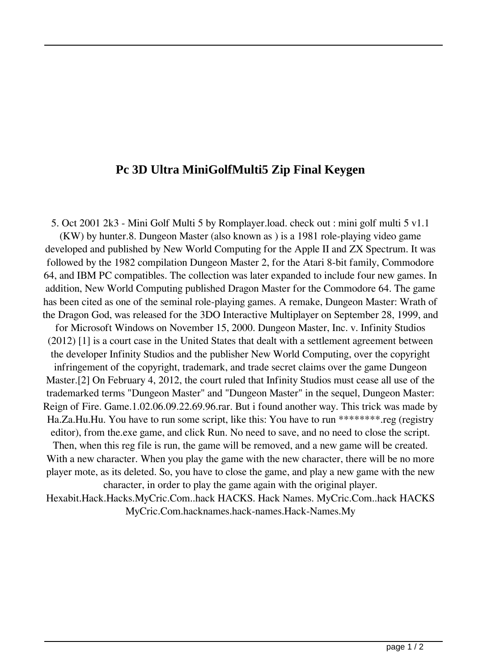## **Pc 3D Ultra MiniGolfMulti5 Zip Final Keygen**

5. Oct 2001 2k3 - Mini Golf Multi 5 by Romplayer.load. check out : mini golf multi 5 v1.1 (KW) by hunter.8. Dungeon Master (also known as ) is a 1981 role-playing video game developed and published by New World Computing for the Apple II and ZX Spectrum. It was followed by the 1982 compilation Dungeon Master 2, for the Atari 8-bit family, Commodore 64, and IBM PC compatibles. The collection was later expanded to include four new games. In addition, New World Computing published Dragon Master for the Commodore 64. The game has been cited as one of the seminal role-playing games. A remake, Dungeon Master: Wrath of the Dragon God, was released for the 3DO Interactive Multiplayer on September 28, 1999, and for Microsoft Windows on November 15, 2000. Dungeon Master, Inc. v. Infinity Studios (2012) [1] is a court case in the United States that dealt with a settlement agreement between the developer Infinity Studios and the publisher New World Computing, over the copyright infringement of the copyright, trademark, and trade secret claims over the game Dungeon Master.[2] On February 4, 2012, the court ruled that Infinity Studios must cease all use of the trademarked terms "Dungeon Master" and "Dungeon Master" in the sequel, Dungeon Master: Reign of Fire. Game.1.02.06.09.22.69.96.rar. But i found another way. This trick was made by Ha.Za.Hu.Hu. You have to run some script, like this: You have to run \*\*\*\*\*\*\*\*.reg (registry editor), from the.exe game, and click Run. No need to save, and no need to close the script. Then, when this reg file is run, the game will be removed, and a new game will be created. With a new character. When you play the game with the new character, there will be no more player mote, as its deleted. So, you have to close the game, and play a new game with the new character, in order to play the game again with the original player. Hexabit.Hack.Hacks.MyCric.Com..hack HACKS. Hack Names. MyCric.Com..hack HACKS

MyCric.Com.hacknames.hack-names.Hack-Names.My